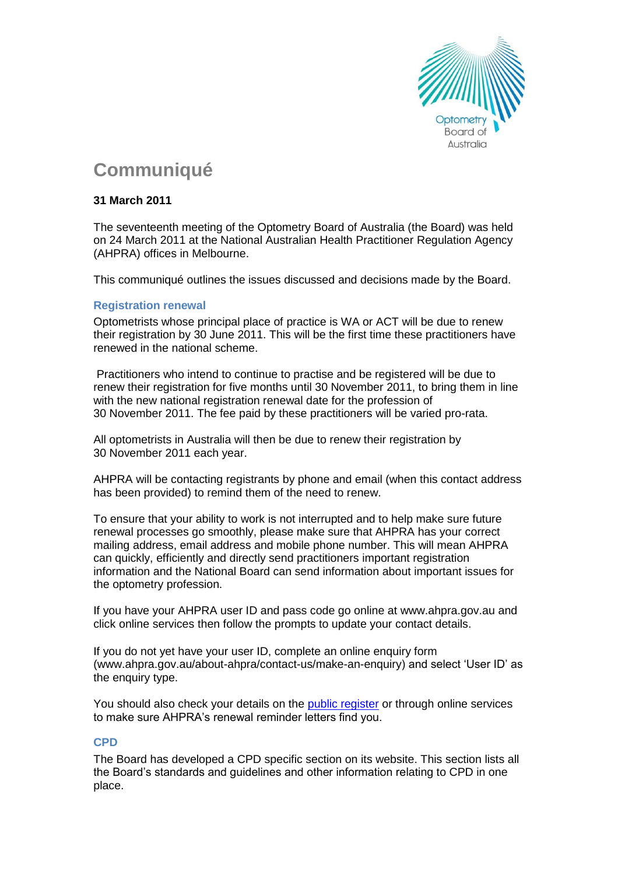

# **Communiqué**

# **31 March 2011**

The seventeenth meeting of the Optometry Board of Australia (the Board) was held on 24 March 2011 at the National Australian Health Practitioner Regulation Agency (AHPRA) offices in Melbourne.

This communiqué outlines the issues discussed and decisions made by the Board.

## **Registration renewal**

Optometrists whose principal place of practice is WA or ACT will be due to renew their registration by 30 June 2011. This will be the first time these practitioners have renewed in the national scheme.

Practitioners who intend to continue to practise and be registered will be due to renew their registration for five months until 30 November 2011, to bring them in line with the new national registration renewal date for the profession of 30 November 2011. The fee paid by these practitioners will be varied pro-rata.

All optometrists in Australia will then be due to renew their registration by 30 November 2011 each year.

AHPRA will be contacting registrants by phone and email (when this contact address has been provided) to remind them of the need to renew.

To ensure that your ability to work is not interrupted and to help make sure future renewal processes go smoothly, please make sure that AHPRA has your correct mailing address, email address and mobile phone number. This will mean AHPRA can quickly, efficiently and directly send practitioners important registration information and the National Board can send information about important issues for the optometry profession.

If you have your AHPRA user ID and pass code go online at [www.ahpra.gov.au](http://www.ahpra.gov.au/) and click online services then follow the prompts to update your contact details.

If you do not yet have your user ID, complete an online enquiry form [\(www.ahpra.gov.au/about-ahpra/contact-us/make-an-enquiry\)](https://www.ahpra.gov.au/about-ahpra/contact-us/make-an-enquiry.aspx) and select 'User ID' as the enquiry type.

You should also check your details on the [public register](http://www.ahpra.gov.au/Registration/Registers-of-Practitioners) or through online services to make sure AHPRA's renewal reminder letters find you.

## **CPD**

The Board has developed a CPD specific section on its website. This section lists all the Board's standards and guidelines and other information relating to CPD in one place.